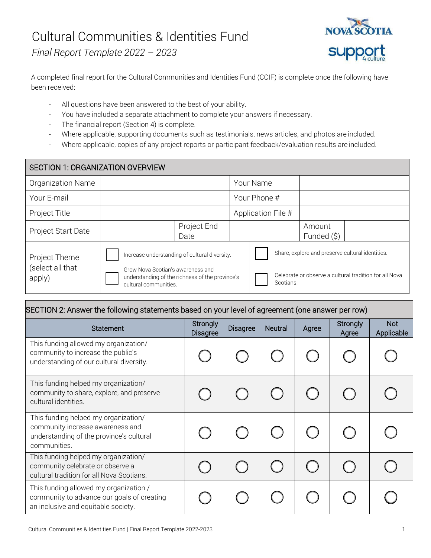*Final Report Template 2022 – 2023*



A completed final report for the Cultural Communities and Identities Fund (CCIF) is complete once the following have been received:

- All questions have been answered to the best of your ability.
- You have included a separate attachment to complete your answers if necessary.
- The financial report (Section 4) is complete.
- Where applicable, supporting documents such as testimonials, news articles, and photos are included.
- Where applicable, copies of any project reports or participant feedback/evaluation results are included.

| SECTION 1: ORGANIZATION OVERVIEW            |                                                                                                                                                                |                     |  |                                                                                                                         |  |                       |  |
|---------------------------------------------|----------------------------------------------------------------------------------------------------------------------------------------------------------------|---------------------|--|-------------------------------------------------------------------------------------------------------------------------|--|-----------------------|--|
| Organization Name                           |                                                                                                                                                                |                     |  | Your Name                                                                                                               |  |                       |  |
| Your E-mail                                 |                                                                                                                                                                |                     |  | Your Phone #                                                                                                            |  |                       |  |
| Project Title                               |                                                                                                                                                                |                     |  | Application File #                                                                                                      |  |                       |  |
| Project Start Date                          |                                                                                                                                                                | Project End<br>Date |  |                                                                                                                         |  | Amount<br>Funded (\$) |  |
| Project Theme<br>(select all that<br>apply) | Increase understanding of cultural diversity.<br>Grow Nova Scotian's awareness and<br>understanding of the richness of the province's<br>cultural communities. |                     |  | Share, explore and preserve cultural identities.<br>Celebrate or observe a cultural tradition for all Nova<br>Scotians. |  |                       |  |

| SECTION 2: Answer the following statements based on your level of agreement (one answer per row)                                     |                             |                 |                |       |                          |                   |
|--------------------------------------------------------------------------------------------------------------------------------------|-----------------------------|-----------------|----------------|-------|--------------------------|-------------------|
| <b>Statement</b>                                                                                                                     | Strongly<br><b>Disagree</b> | <b>Disagree</b> | <b>Neutral</b> | Agree | <b>Strongly</b><br>Agree | Not<br>Applicable |
| This funding allowed my organization/<br>community to increase the public's<br>understanding of our cultural diversity.              |                             |                 |                |       |                          |                   |
| This funding helped my organization/<br>community to share, explore, and preserve<br>cultural identities.                            |                             |                 |                |       |                          |                   |
| This funding helped my organization/<br>community increase awareness and<br>understanding of the province's cultural<br>communities. |                             |                 |                |       |                          |                   |
| This funding helped my organization/<br>community celebrate or observe a<br>cultural tradition for all Nova Scotians.                |                             |                 |                |       |                          |                   |
| This funding allowed my organization /<br>community to advance our goals of creating<br>an inclusive and equitable society.          |                             |                 |                |       |                          |                   |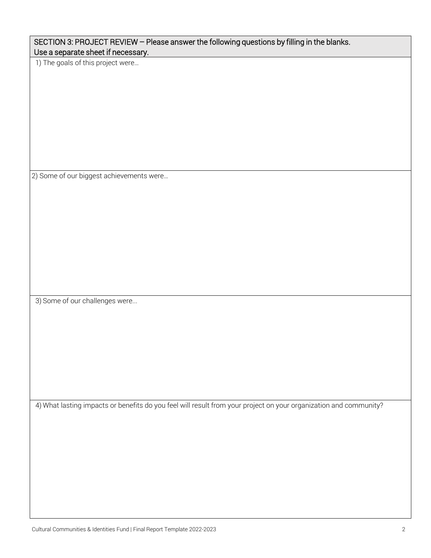| 2) Some of our biggest achievements were                                                                          |
|-------------------------------------------------------------------------------------------------------------------|
|                                                                                                                   |
|                                                                                                                   |
|                                                                                                                   |
|                                                                                                                   |
|                                                                                                                   |
| 3) Some of our challenges were                                                                                    |
|                                                                                                                   |
|                                                                                                                   |
|                                                                                                                   |
|                                                                                                                   |
| 4) What lasting impacts or benefits do you feel will result from your project on your organization and community? |
|                                                                                                                   |
|                                                                                                                   |
|                                                                                                                   |
|                                                                                                                   |
|                                                                                                                   |
|                                                                                                                   |
| Cultural Communities & Identities Fund   Final Report Template 2022-2023                                          |

SECTION 3: PROJECT REVIEW – Please answer the following questions by filling in the blanks.

Use a separate sheet if necessary. 1) The goals of this project were…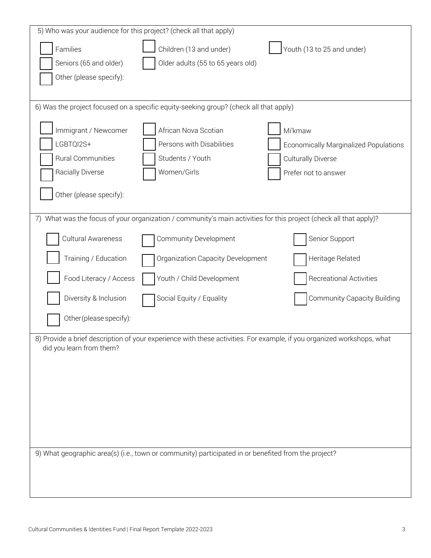| 5) Who was your audience for this project? (check all that apply)                                                      |                                                                                                                |                                       |  |  |  |
|------------------------------------------------------------------------------------------------------------------------|----------------------------------------------------------------------------------------------------------------|---------------------------------------|--|--|--|
| Families                                                                                                               | Children (13 and under)                                                                                        | Youth (13 to 25 and under)            |  |  |  |
| Seniors (65 and older)                                                                                                 | Older adults (55 to 65 years old)                                                                              |                                       |  |  |  |
| Other (please specify):                                                                                                |                                                                                                                |                                       |  |  |  |
|                                                                                                                        |                                                                                                                |                                       |  |  |  |
|                                                                                                                        | 6) Was the project focused on a specific equity-seeking group? (check all that apply)                          |                                       |  |  |  |
| Immigrant / Newcomer                                                                                                   | African Nova Scotian                                                                                           | Mi'kmaw                               |  |  |  |
| LGBTQI2S+                                                                                                              | Persons with Disabilities                                                                                      | Economically Marginalized Populations |  |  |  |
| <b>Rural Communities</b>                                                                                               | Students / Youth                                                                                               | <b>Culturally Diverse</b>             |  |  |  |
| Racially Diverse                                                                                                       | Women/Girls                                                                                                    | Prefer not to answer                  |  |  |  |
|                                                                                                                        |                                                                                                                |                                       |  |  |  |
| Other (please specify):                                                                                                |                                                                                                                |                                       |  |  |  |
| 7)                                                                                                                     | What was the focus of your organization / community's main activities for this project (check all that apply)? |                                       |  |  |  |
| Cultural Awareness                                                                                                     | <b>Community Development</b>                                                                                   | Senior Support                        |  |  |  |
| Training / Education                                                                                                   | Organization Capacity Development                                                                              | Heritage Related                      |  |  |  |
| Food Literacy / Access                                                                                                 | Youth / Child Development                                                                                      | <b>Recreational Activities</b>        |  |  |  |
| Diversity & Inclusion                                                                                                  | Social Equity / Equality                                                                                       | <b>Community Capacity Building</b>    |  |  |  |
| Other (please specify):                                                                                                |                                                                                                                |                                       |  |  |  |
| 8) Provide a brief description of your experience with these activities. For example, if you organized workshops, what |                                                                                                                |                                       |  |  |  |
| did you learn from them?                                                                                               |                                                                                                                |                                       |  |  |  |
|                                                                                                                        |                                                                                                                |                                       |  |  |  |
|                                                                                                                        |                                                                                                                |                                       |  |  |  |
|                                                                                                                        |                                                                                                                |                                       |  |  |  |
|                                                                                                                        |                                                                                                                |                                       |  |  |  |
|                                                                                                                        |                                                                                                                |                                       |  |  |  |
|                                                                                                                        |                                                                                                                |                                       |  |  |  |
| 9) What geographic area(s) (i.e., town or community) participated in or benefited from the project?                    |                                                                                                                |                                       |  |  |  |
|                                                                                                                        |                                                                                                                |                                       |  |  |  |
|                                                                                                                        |                                                                                                                |                                       |  |  |  |
|                                                                                                                        |                                                                                                                |                                       |  |  |  |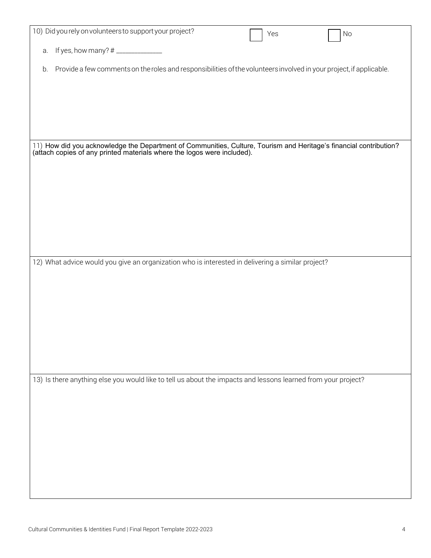| 10) Did you rely on volunteers to support your project?                                                                                                                                       | Yes | No |
|-----------------------------------------------------------------------------------------------------------------------------------------------------------------------------------------------|-----|----|
|                                                                                                                                                                                               |     |    |
| a.                                                                                                                                                                                            |     |    |
|                                                                                                                                                                                               |     |    |
| Provide a few comments on the roles and responsibilities of the volunteers involved in your project, if applicable.<br>b.                                                                     |     |    |
|                                                                                                                                                                                               |     |    |
|                                                                                                                                                                                               |     |    |
|                                                                                                                                                                                               |     |    |
|                                                                                                                                                                                               |     |    |
|                                                                                                                                                                                               |     |    |
|                                                                                                                                                                                               |     |    |
|                                                                                                                                                                                               |     |    |
|                                                                                                                                                                                               |     |    |
| 11) How did you acknowledge the Department of Communities, Culture, Tourism and Heritage's financial contribution?<br>(attach copies of any printed materials where the logos were included). |     |    |
|                                                                                                                                                                                               |     |    |
|                                                                                                                                                                                               |     |    |
|                                                                                                                                                                                               |     |    |
|                                                                                                                                                                                               |     |    |
|                                                                                                                                                                                               |     |    |
|                                                                                                                                                                                               |     |    |
|                                                                                                                                                                                               |     |    |
|                                                                                                                                                                                               |     |    |
|                                                                                                                                                                                               |     |    |
|                                                                                                                                                                                               |     |    |
|                                                                                                                                                                                               |     |    |
|                                                                                                                                                                                               |     |    |
| 12) What advice would you give an organization who is interested in delivering a similar project?                                                                                             |     |    |
|                                                                                                                                                                                               |     |    |
|                                                                                                                                                                                               |     |    |
|                                                                                                                                                                                               |     |    |
|                                                                                                                                                                                               |     |    |
|                                                                                                                                                                                               |     |    |
|                                                                                                                                                                                               |     |    |
|                                                                                                                                                                                               |     |    |
|                                                                                                                                                                                               |     |    |
|                                                                                                                                                                                               |     |    |
|                                                                                                                                                                                               |     |    |
|                                                                                                                                                                                               |     |    |
|                                                                                                                                                                                               |     |    |
| 13) Is there anything else you would like to tell us about the impacts and lessons learned from your project?                                                                                 |     |    |
|                                                                                                                                                                                               |     |    |
|                                                                                                                                                                                               |     |    |
|                                                                                                                                                                                               |     |    |
|                                                                                                                                                                                               |     |    |
|                                                                                                                                                                                               |     |    |
|                                                                                                                                                                                               |     |    |
|                                                                                                                                                                                               |     |    |
|                                                                                                                                                                                               |     |    |
|                                                                                                                                                                                               |     |    |
|                                                                                                                                                                                               |     |    |
|                                                                                                                                                                                               |     |    |
|                                                                                                                                                                                               |     |    |
|                                                                                                                                                                                               |     |    |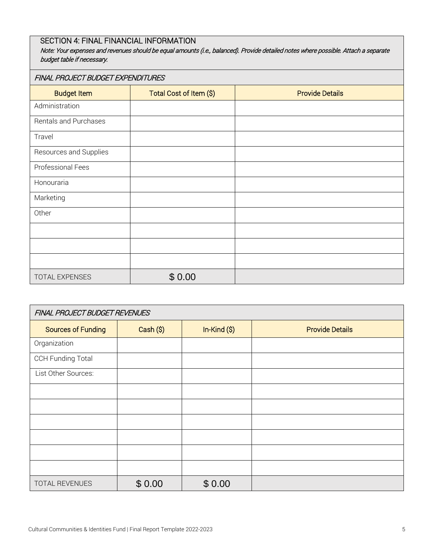# SECTION 4: FINAL FINANCIAL INFORMATION

Note: Your expenses and revenues should be equal amounts (i.e., balanced). Provide detailed notes where possible. Attach a separate budget table if necessary.

#### FINAL PROJECT BUDGET EXPENDITURES

| <b>Budget Item</b>     | Total Cost of Item (\$) | <b>Provide Details</b> |
|------------------------|-------------------------|------------------------|
| Administration         |                         |                        |
| Rentals and Purchases  |                         |                        |
| Travel                 |                         |                        |
| Resources and Supplies |                         |                        |
| Professional Fees      |                         |                        |
| Honouraria             |                         |                        |
| Marketing              |                         |                        |
| Other                  |                         |                        |
|                        |                         |                        |
|                        |                         |                        |
|                        |                         |                        |
| TOTAL EXPENSES         | \$0.00                  |                        |

| FINAL PROJECT BUDGET REVENUES |           |              |                        |  |
|-------------------------------|-----------|--------------|------------------------|--|
| <b>Sources of Funding</b>     | Cash (\$) | $In-Kind(S)$ | <b>Provide Details</b> |  |
| Organization                  |           |              |                        |  |
| <b>CCH Funding Total</b>      |           |              |                        |  |
| List Other Sources:           |           |              |                        |  |
|                               |           |              |                        |  |
|                               |           |              |                        |  |
|                               |           |              |                        |  |
|                               |           |              |                        |  |
|                               |           |              |                        |  |
|                               |           |              |                        |  |
| TOTAL REVENUES                | \$0.00    | \$0.00       |                        |  |